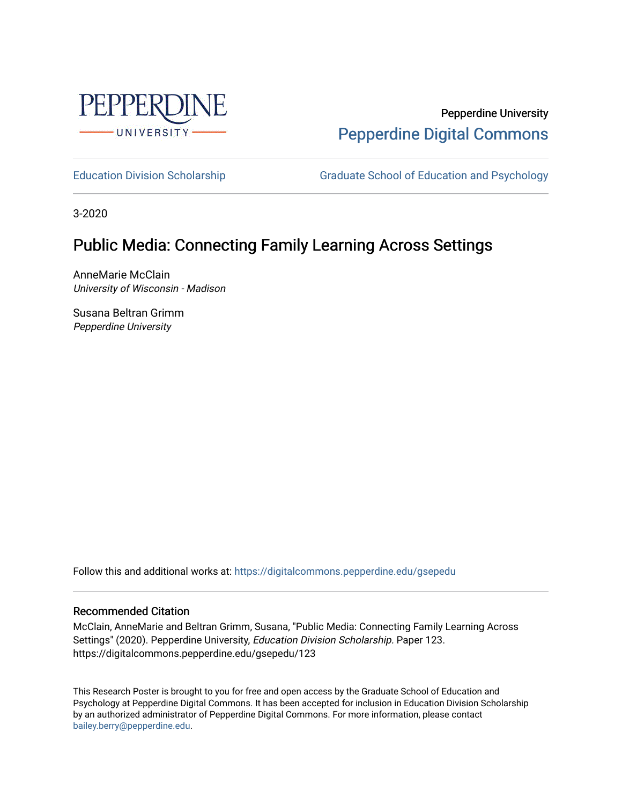

Pepperdine University [Pepperdine Digital Commons](https://digitalcommons.pepperdine.edu/) 

[Education Division Scholarship](https://digitalcommons.pepperdine.edu/gsepedu) Graduate School of Education and Psychology

3-2020

## Public Media: Connecting Family Learning Across Settings

AnneMarie McClain University of Wisconsin - Madison

Susana Beltran Grimm Pepperdine University

Follow this and additional works at: [https://digitalcommons.pepperdine.edu/gsepedu](https://digitalcommons.pepperdine.edu/gsepedu?utm_source=digitalcommons.pepperdine.edu%2Fgsepedu%2F123&utm_medium=PDF&utm_campaign=PDFCoverPages) 

## Recommended Citation

McClain, AnneMarie and Beltran Grimm, Susana, "Public Media: Connecting Family Learning Across Settings" (2020). Pepperdine University, Education Division Scholarship. Paper 123. https://digitalcommons.pepperdine.edu/gsepedu/123

This Research Poster is brought to you for free and open access by the Graduate School of Education and Psychology at Pepperdine Digital Commons. It has been accepted for inclusion in Education Division Scholarship by an authorized administrator of Pepperdine Digital Commons. For more information, please contact [bailey.berry@pepperdine.edu](mailto:bailey.berry@pepperdine.edu).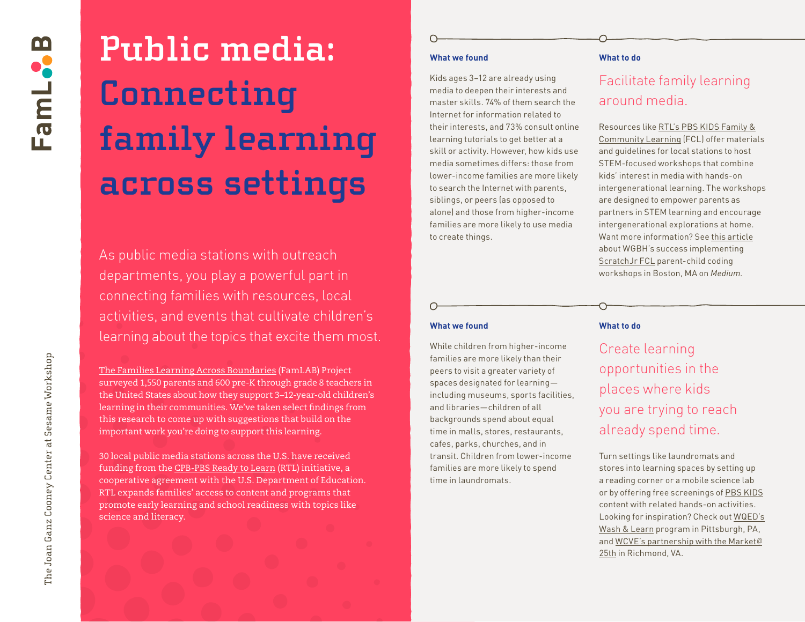# **Public media: Connecting family learning across settings**

As public media stations with outreach departments, you play a powerful part in connecting families with resources, local activities, and events that cultivate children's learning about the topics that excite them most.

[The Families Learning Across Boundaries](http://joanganzcooneycenter.org/initiative/families-learning-across-boundaries/) (FamLAB) Project surveyed 1,550 parents and 600 pre-K through grade 8 teachers in the United States about how they support 3–12-year-old children's learning in their communities. We've taken select findings from this research to come up with suggestions that build on the important work you're doing to support this learning.

30 local public media stations across the U.S. have received funding from the [CPB-PBS Ready to Learn \(RTL\)](https://www.cpb.org/ready-to-learn) initiative, a cooperative agreement with the U.S. Department of Education. RTL expands families' access to content and programs that promote early learning and school readiness with topics like science and literacy.

## **What we found**

Kids ages 3–12 are already using media to deepen their interests and master skills. 74% of them search the Internet for information related to their interests, and 73% consult online learning tutorials to get better at a skill or activity. However, how kids use media sometimes differs: those from lower-income families are more likely to search the Internet with parents, siblings, or peers (as opposed to alone) and those from higher-income families are more likely to use media to create things.

#### **What to do**

# Facilitate family learning around media.

Resources like [RTL's PBS KIDS Family &](https://ny.pbslearningmedia.org/collection/pbs-kids-family-community-learning/#.XWB20OhKg2w) [Community Learning \(FCL\)](https://ny.pbslearningmedia.org/collection/pbs-kids-family-community-learning/#.XWB20OhKg2w) offer materials and guidelines for local stations to host STEM-focused workshops that combine kids' interest in media with hands-on intergenerational learning. The workshops are designed to empower parents as partners in STEM learning and encourage intergenerational explorations at home. Want more information? See [this article](https://medium.com/scratchteam-blog/engaging-families-with-creative-learning-experiences-44b175c72936) about WGBH's success implementing [ScratchJr FCL](https://ny.pbslearningmedia.org/resource/fcl-scratchjr-rtl-2015-2020/family-community-learning-with-scratchjr-rtl-2015-2020/) parent-child coding workshops in Boston, MA on *Medium*.

#### **What we found**

While children from higher-income families are more likely than their peers to visit a greater variety of spaces designated for learning including museums, sports facilities, and libraries—children of all backgrounds spend about equal time in malls, stores, restaurants, cafes, parks, churches, and in transit. Children from lower-income families are more likely to spend time in laundromats.

#### **What to do**

Create learning opportunities in the places where kids you are trying to reach already spend time.

Turn settings like laundromats and stores into learning spaces by setting up a reading corner or a mobile science lab or by offering free screenings of [PBS KIDS](https://pbskids.org/) content with related hands-on activities. Looking for inspiration? Check out [WQED's](https://www.kidsburgh.org/wash-learns-pop-up-library-spins-suds-and-stories/) [Wash & Learn](https://www.kidsburgh.org/wash-learns-pop-up-library-spins-suds-and-stories/) program in Pittsburgh, PA, and [WCVE's partnership with the Market](https://ideastations.org/market)  @[25th](https://ideastations.org/market) in Richmond, VA.